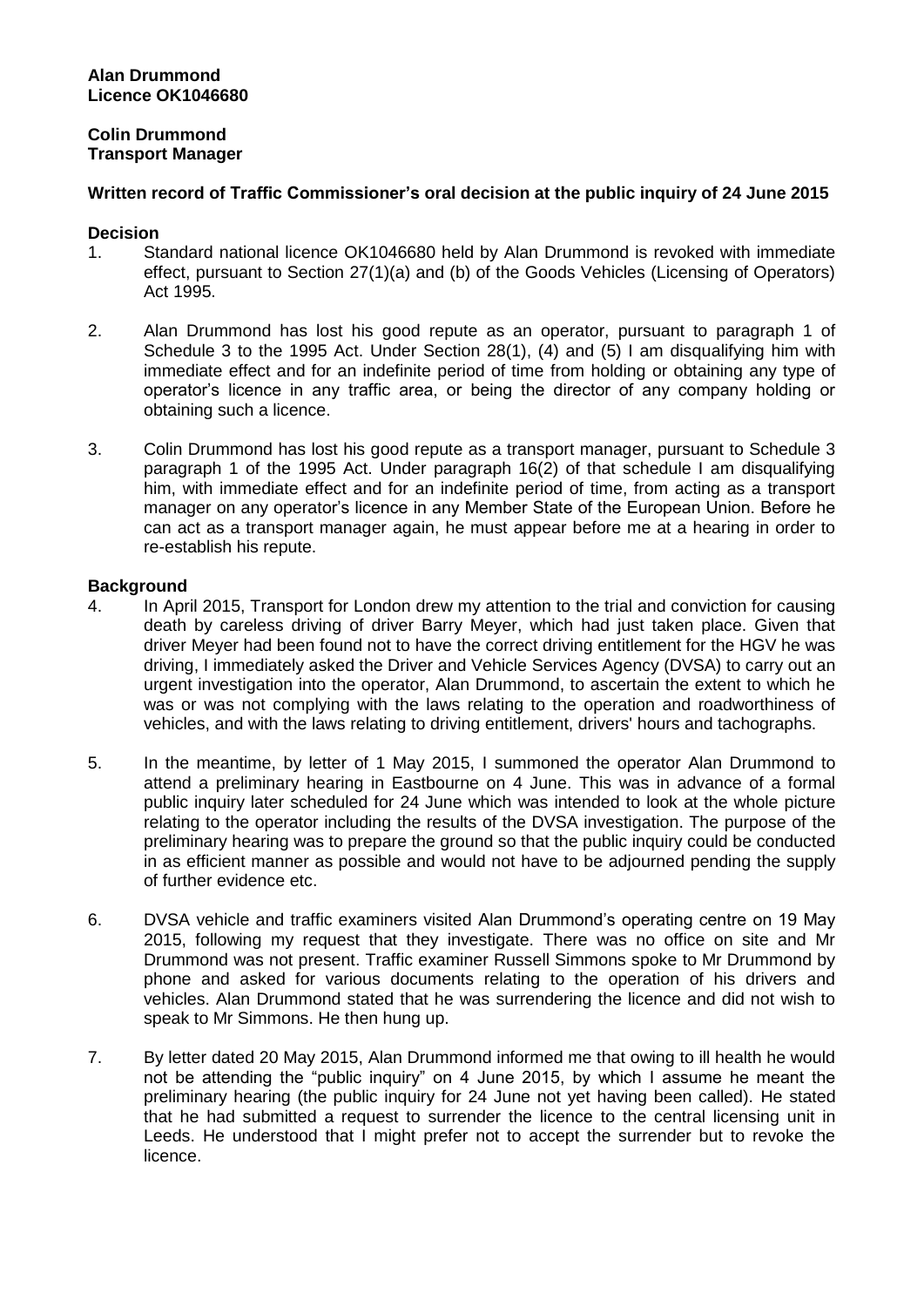### **Alan Drummond Licence OK1046680**

# **Colin Drummond Transport Manager**

# **Written record of Traffic Commissioner's oral decision at the public inquiry of 24 June 2015**

### **Decision**

- 1. Standard national licence OK1046680 held by Alan Drummond is revoked with immediate effect, pursuant to Section 27(1)(a) and (b) of the Goods Vehicles (Licensing of Operators) Act 1995.
- 2. Alan Drummond has lost his good repute as an operator, pursuant to paragraph 1 of Schedule 3 to the 1995 Act. Under Section 28(1), (4) and (5) I am disqualifying him with immediate effect and for an indefinite period of time from holding or obtaining any type of operator's licence in any traffic area, or being the director of any company holding or obtaining such a licence.
- 3. Colin Drummond has lost his good repute as a transport manager, pursuant to Schedule 3 paragraph 1 of the 1995 Act. Under paragraph 16(2) of that schedule I am disqualifying him, with immediate effect and for an indefinite period of time, from acting as a transport manager on any operator's licence in any Member State of the European Union. Before he can act as a transport manager again, he must appear before me at a hearing in order to re-establish his repute.

# **Background**

- 4. In April 2015, Transport for London drew my attention to the trial and conviction for causing death by careless driving of driver Barry Meyer, which had just taken place. Given that driver Meyer had been found not to have the correct driving entitlement for the HGV he was driving, I immediately asked the Driver and Vehicle Services Agency (DVSA) to carry out an urgent investigation into the operator, Alan Drummond, to ascertain the extent to which he was or was not complying with the laws relating to the operation and roadworthiness of vehicles, and with the laws relating to driving entitlement, drivers' hours and tachographs.
- 5. In the meantime, by letter of 1 May 2015, I summoned the operator Alan Drummond to attend a preliminary hearing in Eastbourne on 4 June. This was in advance of a formal public inquiry later scheduled for 24 June which was intended to look at the whole picture relating to the operator including the results of the DVSA investigation. The purpose of the preliminary hearing was to prepare the ground so that the public inquiry could be conducted in as efficient manner as possible and would not have to be adjourned pending the supply of further evidence etc.
- 6. DVSA vehicle and traffic examiners visited Alan Drummond's operating centre on 19 May 2015, following my request that they investigate. There was no office on site and Mr Drummond was not present. Traffic examiner Russell Simmons spoke to Mr Drummond by phone and asked for various documents relating to the operation of his drivers and vehicles. Alan Drummond stated that he was surrendering the licence and did not wish to speak to Mr Simmons. He then hung up.
- 7. By letter dated 20 May 2015, Alan Drummond informed me that owing to ill health he would not be attending the "public inquiry" on 4 June 2015, by which I assume he meant the preliminary hearing (the public inquiry for 24 June not yet having been called). He stated that he had submitted a request to surrender the licence to the central licensing unit in Leeds. He understood that I might prefer not to accept the surrender but to revoke the licence.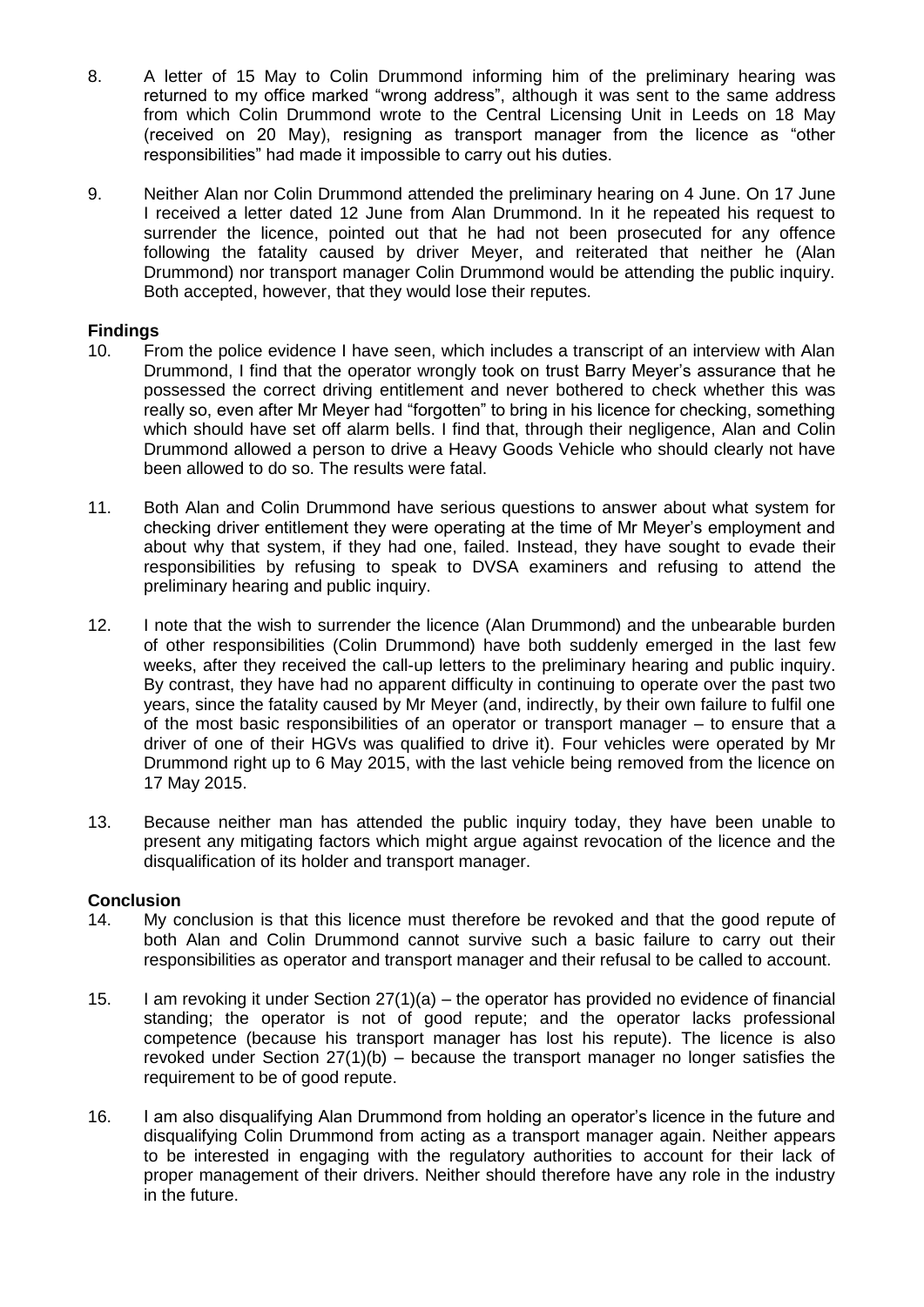- 8. A letter of 15 May to Colin Drummond informing him of the preliminary hearing was returned to my office marked "wrong address", although it was sent to the same address from which Colin Drummond wrote to the Central Licensing Unit in Leeds on 18 May (received on 20 May), resigning as transport manager from the licence as "other responsibilities" had made it impossible to carry out his duties.
- 9. Neither Alan nor Colin Drummond attended the preliminary hearing on 4 June. On 17 June I received a letter dated 12 June from Alan Drummond. In it he repeated his request to surrender the licence, pointed out that he had not been prosecuted for any offence following the fatality caused by driver Meyer, and reiterated that neither he (Alan Drummond) nor transport manager Colin Drummond would be attending the public inquiry. Both accepted, however, that they would lose their reputes.

# **Findings**

- 10. From the police evidence I have seen, which includes a transcript of an interview with Alan Drummond, I find that the operator wrongly took on trust Barry Meyer's assurance that he possessed the correct driving entitlement and never bothered to check whether this was really so, even after Mr Meyer had "forgotten" to bring in his licence for checking, something which should have set off alarm bells. I find that, through their negligence, Alan and Colin Drummond allowed a person to drive a Heavy Goods Vehicle who should clearly not have been allowed to do so. The results were fatal.
- 11. Both Alan and Colin Drummond have serious questions to answer about what system for checking driver entitlement they were operating at the time of Mr Meyer's employment and about why that system, if they had one, failed. Instead, they have sought to evade their responsibilities by refusing to speak to DVSA examiners and refusing to attend the preliminary hearing and public inquiry.
- 12. I note that the wish to surrender the licence (Alan Drummond) and the unbearable burden of other responsibilities (Colin Drummond) have both suddenly emerged in the last few weeks, after they received the call-up letters to the preliminary hearing and public inquiry. By contrast, they have had no apparent difficulty in continuing to operate over the past two years, since the fatality caused by Mr Meyer (and, indirectly, by their own failure to fulfil one of the most basic responsibilities of an operator or transport manager – to ensure that a driver of one of their HGVs was qualified to drive it). Four vehicles were operated by Mr Drummond right up to 6 May 2015, with the last vehicle being removed from the licence on 17 May 2015.
- 13. Because neither man has attended the public inquiry today, they have been unable to present any mitigating factors which might argue against revocation of the licence and the disqualification of its holder and transport manager.

#### **Conclusion**

- 14. My conclusion is that this licence must therefore be revoked and that the good repute of both Alan and Colin Drummond cannot survive such a basic failure to carry out their responsibilities as operator and transport manager and their refusal to be called to account.
- 15. I am revoking it under Section 27(1)(a) the operator has provided no evidence of financial standing; the operator is not of good repute; and the operator lacks professional competence (because his transport manager has lost his repute). The licence is also revoked under Section  $27(1)(b)$  – because the transport manager no longer satisfies the requirement to be of good repute.
- 16. I am also disqualifying Alan Drummond from holding an operator's licence in the future and disqualifying Colin Drummond from acting as a transport manager again. Neither appears to be interested in engaging with the regulatory authorities to account for their lack of proper management of their drivers. Neither should therefore have any role in the industry in the future.